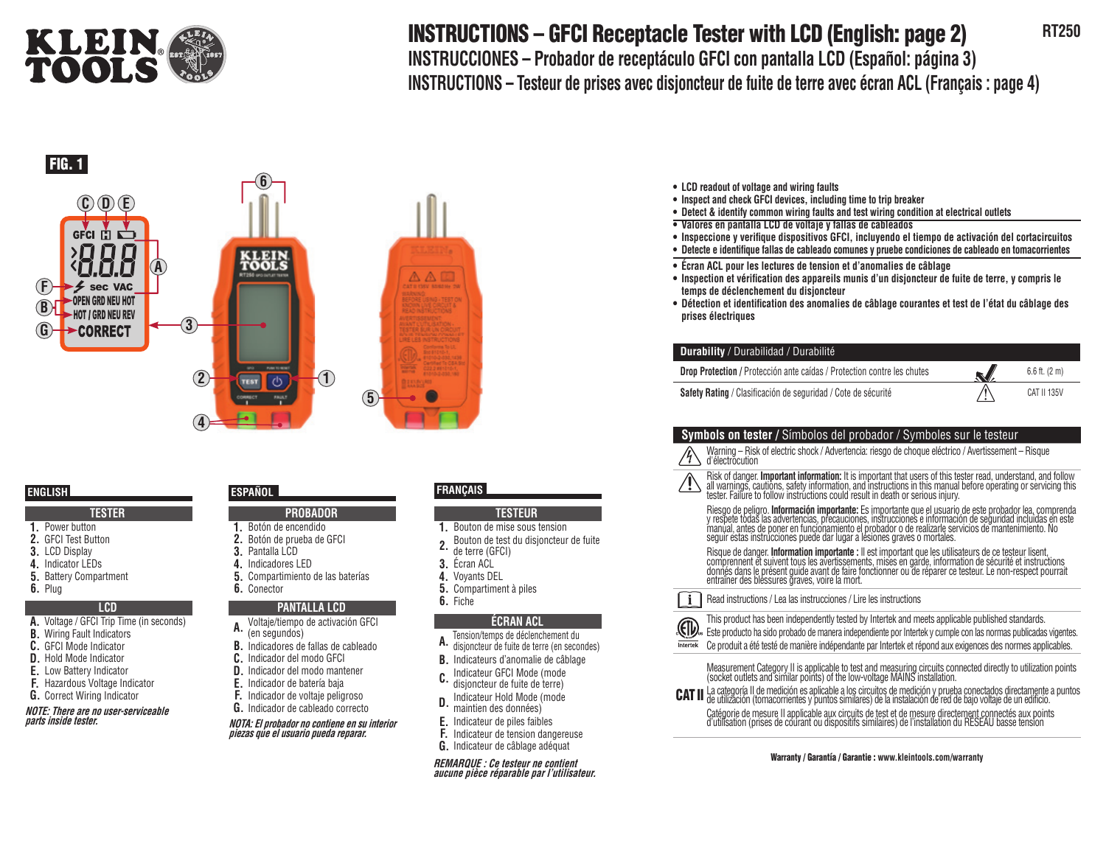

# **INSTRUCTIONS – GFCI Receptacle Tester with LCD (English: page 2)** RT250

**INSTRUCCIONES – Probador de receptáculo GFCI con pantalla LCD (Español: página 3) INSTRUCTIONS – Testeur de prises avec disjoncteur de fuite de terre avec écran ACL (Français : page 4)**



# **TESTER**

- **1.** Power button **2.** GFCI Test Button
- **3.** LCD Display
- **4.** Indicator LEDs
- **5.** Battery Compartment
- **6.** Plug

#### **LCD**

- **A.** Voltage / GFCI Trip Time (in seconds)
- **B.** Wiring Fault Indicators
- **C.** GFCI Mode Indicator
- **D.** Hold Mode Indicator
- **E.** Low Battery Indicator
- **F.** Hazardous Voltage Indicator
- **G.** Correct Wiring Indicator

**NOTE: There are no user-serviceable parts inside tester.**

- **PROBADOR**
- **1.** Botón de encendido
- **2.** Botón de prueba de GFCI
- **3.** Pantalla LCD
- **4.** Indicadores LED
- **5.** Compartimiento de las baterías
- **6.** Conector

# **PANTALLA LCD**

- **A.** Voltaje/tiempo de activación GFCI (en segundos)
- **B.** Indicadores de fallas de cableado
- **C.** Indicador del modo GFCI
- **D.** Indicador del modo mantener
- **E.** Indicador de batería baja
- **F.** Indicador de voltaje peligroso
- **G.** Indicador de cableado correcto

**NOTA: El probador no contiene en su interior piezas que el usuario pueda reparar.**

# **ENGLISH ESPAÑOL FRANÇAIS**

# **TESTEUR**

- **1.** Bouton de mise sous tension
- **2.** Bouton de test du disjoncteur de fuite
- de terre (GFCI)
- **3.** Écran ACL
- **4.** Voyants DEL
- **5.** Compartiment à piles
- **6.** Fiche

# **ÉCRAN ACL**

- **A.** lension/temps de déclenchement du<br>**A.** disjoncteur de fuite de terre (en secondes)
- 
- **B.** Indicateurs d'anomalie de câblage
- **C.** Indicateur GFCI Mode (mode disjoncteur de fuite de terre)
- **D.** Indicateur Hold Mode (mode maintien des données)
- **E.** Indicateur de piles faibles
- **F.** Indicateur de tension dangereuse
- **G.** Indicateur de câblage adéquat

**REMARQUE : Ce testeur ne contient aucune pièce réparable par l'utilisateur.**

- **LCD readout of voltage and wiring faults**
- **Inspect and check GFCI devices, including time to trip breaker**
- **Detect & identify common wiring faults and test wiring condition at electrical outlets**
- **Valores en pantalla LCD de voltaje y fallas de cableados**
- **Inspeccione y verifi que dispositivos GFCI, incluyendo el tiempo de activación del cortacircuitos**
- **Detecte e identifi que fallas de cableado comunes y pruebe condiciones de cableado en tomacorrientes**
- **Écran ACL pour les lectures de tension et d'anomalies de câblage**
- Inspection et vérification des appareils munis d'un disjoncteur de fuite de terre, y compris le **temps de déclenchement du disjoncteur**
- **Détection et identifi cation des anomalies de câblage courantes et test de l'état du câblage des prises électriques**

# **Durability** / Durabilidad / Durabilité

| <b>Drop Protection</b> / Protección ante caídas / Protection contre les chutes | N, | $6.6$ ft. (2 m) |
|--------------------------------------------------------------------------------|----|-----------------|
| Safety Rating / Clasificación de seguridad / Cote de sécurité                  |    | CAT II 135V     |

# **Symbols on tester /** Símbolos del probador / Symboles sur le testeur

Warning – Risk of electric shock / Advertencia: riesgo de choque eléctrico / Avertissement – Risque d'électrocution

Risk of danger. **Important information:** It is important that users of this tester read, understand, and follow<br>all warnings, cautions, safety information, and instructions in this manual before operating or servicing this tester. Failure to follow instructions could result in death or serious injury.

Riesgo de peligro. **Información importante:** Es importante que el usuario de este probador lea, comprenda<br>y respete todas las advertencias, precauciones, instrucciones e información de seguridad incluidas en este<br>manual, a seguir estas instrucciones puede dar lugar a lesiones graves o mortales.

Risque de danger. **Information importante :** Il est important que les utilisateurs de ce testeur lisent,<br>comprennent et suivent tous les avertissements, mises en garde, information de sécurité et instructions donnés dans le présent guide avant de faire fonctionner ou de réparer ce testeur. Le non-respect pourrait entraîner des blessures graves, voire la mort.

 $\mathbf{i}$ Read instructions / Lea las instrucciones / Lire les instructions



Ce produit a été testé de manière indépendante par Intertek et répond aux exigences des normes applicables. Intertek

Measurement Category II is applicable to test and measuring circuits connected directly to utilization points<br>(socket outlets and similar points) of the low-voltage MAINS installation.

CAT II La categoría II de medición es aplicable a los circuitos de medición y prueba conectados directamente a puntos<br>CAT II de utilización (tomacorrientes y puntos similares) de la instalación de red de bajo voltaje de un

Catégorie de mesure II applicable aux circuits de test et de mesure directement connectés aux points<br>d'utilisation (prises de courant ou dispositifs similaires) de l'installation du RÉSEAU basse tension

#### Warranty / Garantía / Garantie : **www.kleintools.com/warranty**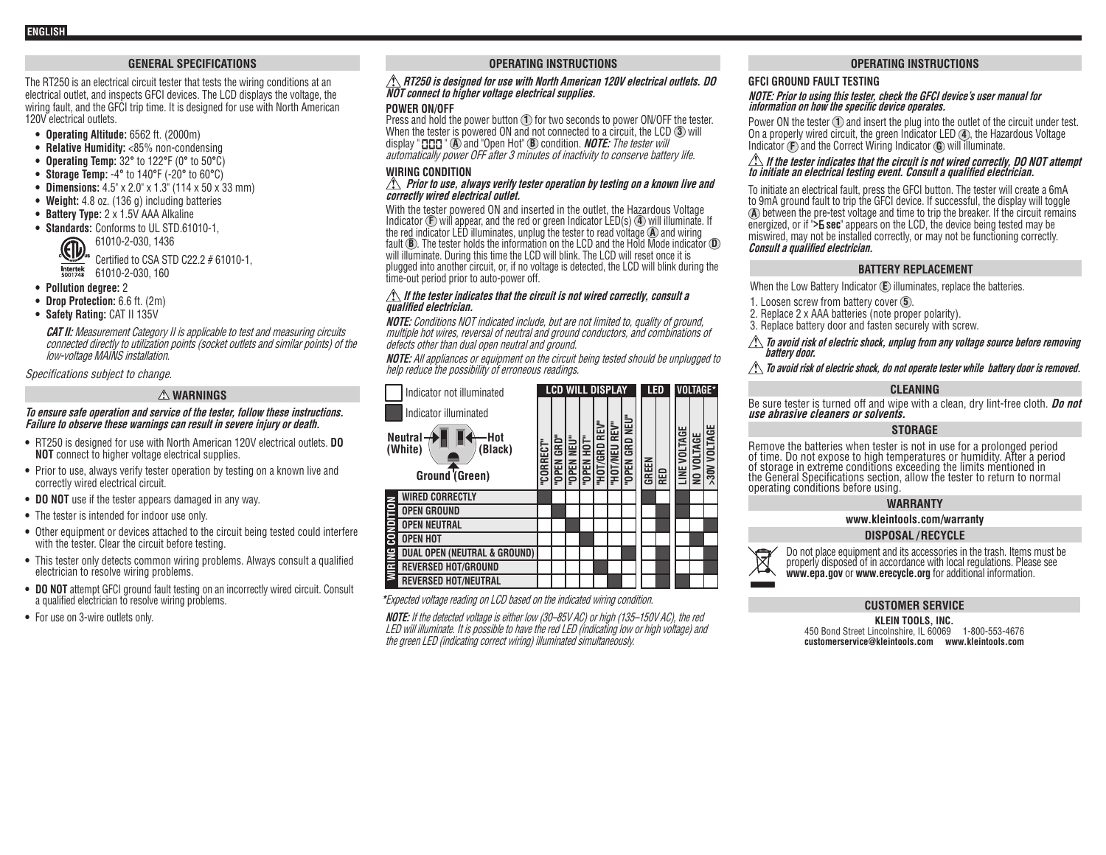# **GENERAL SPECIFICATIONS**

The RT250 is an electrical circuit tester that tests the wiring conditions at an electrical outlet, and inspects GFCI devices. The LCD displays the voltage, the wiring fault, and the GFCI trip time. It is designed for use with North American 120V electrical outlets.

- **• Operating Altitude:** 6562 ft. (2000m)
- **• Relative Humidity:** <85% non-condensing
- **• Operating Temp:** 32**°** to 122**°**F (0**°** to 50**°**C)
- **• Storage Temp:** -4**°** to 140**°**F (-20**°** to 60**°**C)
- **• Dimensions:** 4.5" x 2.0" x 1.3" (114 x 50 x 33 mm)
- **• Weight:** 4.8 oz. (136 g) including batteries
- **• Battery Type:** 2 x 1.5V AAA Alkaline
- **• Standards:** Conforms to UL STD.61010-1, 61010-2-030, 1436  $\text{C}$  Certified to CSA STD C22.2 # 61010-1.

Intertek 61010-2-030, 160

- **• Pollution degree:** 2
- **• Drop Protection:** 6.6 ft. (2m)
- **• Safety Rating:** CAT II 135V

**CAT II:** Measurement Category II is applicable to test and measuring circuits connected directly to utilization points (socket outlets and similar points) of the low-voltage MAINS installation.

Specifications subject to change.

# **WARNINGS**

#### **To ensure safe operation and service of the tester, follow these instructions. Failure to observe these warnings can result in severe injury or death.**

- **•** RT250 is designed for use with North American 120V electrical outlets. **DO NOT** connect to higher voltage electrical supplies.
- **•** Prior to use, always verify tester operation by testing on a known live and correctly wired electrical circuit.
- **• DO NOT** use if the tester appears damaged in any way.
- **•** The tester is intended for indoor use only.
- **•** Other equipment or devices attached to the circuit being tested could interfere with the tester. Clear the circuit before testing.
- **•** This tester only detects common wiring problems. Always consult a qualified electrician to resolve wiring problems.
- **DO NOT** attempt GFCI ground fault testing on an incorrectly wired circuit. Consult a qualified electrician to resolve wiring problems.
- **•** For use on 3-wire outlets only.

# **OPERATING INSTRUCTIONS**

#### **RT250 is designed for use with North American 120V electrical outlets. DO NOT connect to higher voltage electrical supplies.**

#### **POWER ON/OFF**

Press and hold the power button **1** for two seconds to power ON/OFF the tester. When the tester is powered ON and not connected to a circuit, the LCD **3** will display " **CO** and "Open Hot" **B** condition. **NOTE:** The tester will automatically power OFF after 3 minutes of inactivity to conserve battery life.

#### **WIRING CONDITION**

#### **Prior to use, always verify tester operation by testing on a known live and correctly wired electrical outlet.**

With the tester powered ON and inserted in the outlet, the Hazardous Voltage Indicator **F** will appear, and the red or green Indicator LED(s) **4** will illuminate. If the red indicator LED illuminates, unplug the tester to read voltage **A** and wiring fault **B**. The tester holds the information on the LCD and the Hold Mode indicator **D** will illuminate. During this time the LCD will blink. The LCD will reset once it is plugged into another circuit, or, if no voltage is detected, the LCD will blink during the time-out period prior to auto-power off.

#### **If the tester indicates that the circuit is not wired correctly, consult a qualified electrician.**

**NOTE:** Conditions NOT indicated include, but are not limited to, quality of ground, multiple hot wires, reversal of neutral and ground conductors, and combinations of defects other than dual open neutral and ground.

**NOTE:** All appliances or equipment on the circuit being tested should be unplugged to help reduce the possibility of erroneous readings.

| Indicator not illuminated                                    | <b>LCD WILL DISPLAY</b> |            |            |            |                         |               |                | LED   |     | VOLTAGE*                    |            |                     |
|--------------------------------------------------------------|-------------------------|------------|------------|------------|-------------------------|---------------|----------------|-------|-----|-----------------------------|------------|---------------------|
| Indicator illuminated                                        |                         |            |            |            |                         |               |                |       |     |                             |            |                     |
| <b>Neutral</b><br>Hot<br>(White)<br>Black)<br>Ground (Green) | <b>"CORRECT"</b>        | "OPEN GRD" | "OPEN NEU" | "OPEN HOT" | <b>REV"</b><br>"HOT/GRD | "HOT/NEU REV" | "OPEN GRD NEU" | GREEN | RED | <b>LTAGE</b><br>š<br>∐<br>∐ | NO VOLTAGE | <b>S30V VOLTAGE</b> |
| <b>WIRED CORRECTLY</b>                                       |                         |            |            |            |                         |               |                |       |     |                             |            |                     |
| <b>OPEN GROUND</b>                                           |                         |            |            |            |                         |               |                |       |     |                             |            |                     |
| CONDITION<br><b>OPEN NEUTRAL</b>                             |                         |            |            |            |                         |               |                |       |     |                             |            |                     |
| <b>OPEN HOT</b>                                              |                         |            |            |            |                         |               |                |       |     |                             |            |                     |
| <b>DUAL OPEN (NEUTRAL &amp; GROUND)</b>                      |                         |            |            |            |                         |               |                |       |     |                             |            |                     |
| <b>WIRING</b><br><b>REVERSED HOT/GROUND</b>                  |                         |            |            |            |                         |               |                |       |     |                             |            |                     |
| <b>REVERSED HOT/NEUTRAL</b>                                  |                         |            |            |            |                         |               |                |       |     |                             |            |                     |

**\***Expected voltage reading on LCD based on the indicated wiring condition.

**NOTE:** If the detected voltage is either low (30–85V AC) or high (135–150V AC), the red LED will illuminate. It is possible to have the red LED (indicating low or high voltage) and the green LED (indicating correct wiring) illuminated simultaneously.

# **OPERATING INSTRUCTIONS**

# **GFCI GROUND FAULT TESTING**

#### **NOTE: Prior to using this tester, check the GFCI device's user manual for information on how the specific device operates.**

Power ON the tester **1** and insert the plug into the outlet of the circuit under test. On a properly wired circuit, the green Indicator LED **4** , the Hazardous Voltage Indicator **F** and the Correct Wiring Indicator **G** will illuminate.

# $\hat{A}$  If the tester indicates that the circuit is not wired correctly, DO NOT attempt to initiate an electrical testing event. Consult a qualified electrician.

To initiate an electrical fault, press the GFCI button. The tester will create a 6mA to 9mA ground fault to trip the GFCI device. If successful, the display will toggle **A** between the pre-test voltage and time to trip the breaker. If the circuit remains energized, or if ">**E** sec" appears on the LCD, the device being tested may be miswired, may not be installed correctly, or may not be functioning correctly. **Consult a qualified electrician.**

#### **BATTERY REPLACEMENT**

When the Low Battery Indicator **E** illuminates, replace the batteries.

- 1. Loosen screw from battery cover **5** .
- 2. Replace 2 x AAA batteries (note proper polarity).
- 3. Replace battery door and fasten securely with screw.

# **To avoid risk of electric shock, unplug from any voltage source before removing battery door.**

#### $\bigtriangleup$  To avoid risk of electric shock, do not operate tester while battery door is removed.

#### **CLEANING**

Be sure tester is turned off and wipe with a clean, dry lint-free cloth. **Do not use abrasive cleaners or solvents.**

## **STORAGE**

Remove the batteries when tester is not in use for a prolonged period of time. Do not expose to high temperatures or humidity. After a period of storage in extreme conditions exceeding the limits mentioned in the General Specifications section, allow the tester to return to normal operating conditions before using.

## **WARRANTY**

**www.kleintools.com/warranty**

# **DISPOSAL / RECYCLE**



Do not place equipment and its accessories in the trash. Items must be properly disposed of in accordance with local regulations. Please see **www.epa.gov** or **www.erecycle.org** for additional information.

# **CUSTOMER SERVICE**

**KLEIN TOOLS, INC.**  450 Bond Street Lincolnshire, IL 60069 1-800-553-4676 **customerservice@kleintools.com www.kleintools.com**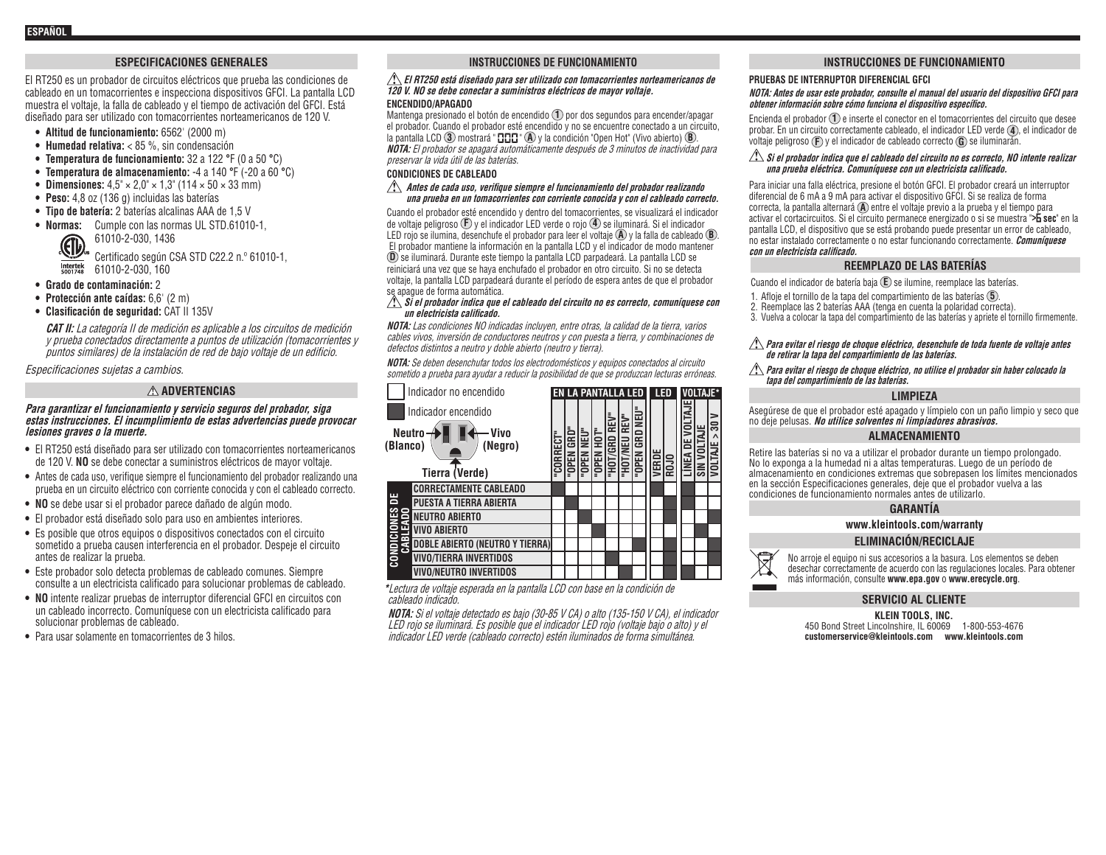# **ESPECIFICACIONES GENERALES**

El RT250 es un probador de circuitos eléctricos que prueba las condiciones de cableado en un tomacorrientes e inspecciona dispositivos GFCI. La pantalla LCD muestra el voltaje, la falla de cableado y el tiempo de activación del GFCI. Está diseñado para ser utilizado con tomacorrientes norteamericanos de 120 V.

- **• Altitud de funcionamiento:** 6562' (2000 m)
- **• Humedad relativa:** < 85 %, sin condensación
- **• Temperatura de funcionamiento:** 32 a 122 **°**F (0 a 50 **°**C)
- **• Temperatura de almacenamiento:** -4 a 140 **°**F (-20 a 60 **°**C)
- **• Dimensiones:** 4,5" × 2,0" × 1,3" (114 × 50 × 33 mm)
- **• Peso:** 4,8 oz (136 g) incluidas las baterías
- **• Tipo de batería:** 2 baterías alcalinas AAA de 1,5 V
- **• Normas:** Cumple con las normas UL STD.61010-1,

61010-2-030, 1436 CO 61010-2-030, 1436<br>Certificado según CSA STD C22.2 n.º 61010-1,  $\frac{\text{Interest}}{\text{5001748}}$  61010-2-030, 160

- **• Grado de contaminación:** 2
- **• Protección ante caídas:** 6,6' (2 m)
- **• Clasificación de seguridad:** CAT II 135V

**CAT II:** La categoría II de medición es aplicable a los circuitos de medición y prueba conectados directamente a puntos de utilización (tomacorrientes y puntos similares) de la instalación de red de bajo voltaje de un edificio.

Especificaciones sujetas a cambios.

# **ADVERTENCIAS**

#### **Para garantizar el funcionamiento y servicio seguros del probador, siga estas instrucciones. El incumplimiento de estas advertencias puede provocar lesiones graves o la muerte.**

- **•** El RT250 está diseñado para ser utilizado con tomacorrientes norteamericanos de 120 V. **NO** se debe conectar a suministros eléctricos de mayor voltaje.
- **•** Antes de cada uso, verifique siempre el funcionamiento del probador realizando una prueba en un circuito eléctrico con corriente conocida y con el cableado correcto.
- **NO** se debe usar si el probador parece dañado de algún modo.
- **•** El probador está diseñado solo para uso en ambientes interiores.
- **•** Es posible que otros equipos o dispositivos conectados con el circuito sometido a prueba causen interferencia en el probador. Despeje el circuito antes de realizar la prueba.
- **•** Este probador solo detecta problemas de cableado comunes. Siempre consulte a un electricista calificado para solucionar problemas de cableado.
- **NO** intente realizar pruebas de interruptor diferencial GFCI en circuitos con un cableado incorrecto. Comuníquese con un electricista calificado para solucionar problemas de cableado.
- **•** Para usar solamente en tomacorrientes de 3 hilos.

#### **INSTRUCCIONES DE FUNCIONAMIENTO**

#### **El RT250 está diseñado para ser utilizado con tomacorrientes norteamericanos de 120 V. NO se debe conectar a suministros eléctricos de mayor voltaje. ENCENDIDO/APAGADO**

Mantenga presionado el botón de encendido **1** por dos segundos para encender/apagar el probador. Cuando el probador esté encendido y no se encuentre conectado a un circuito, la pantalla LCD **3** mostrará "**CCC**" **A** y la condición "Open Hot" (Vivo abierto) **B**. **NOTA:** El probador se apagará automáticamente después de 3 minutos de inactividad para preservar la vida útil de las baterías.

#### **CONDICIONES DE CABLEADO**

#### **Antes de cada uso, verifique siempre el funcionamiento del probador realizando una prueba en un tomacorrientes con corriente conocida y con el cableado correcto.**

Cuando el probador esté encendido y dentro del tomacorrientes, se visualizará el indicador de voltaje peligroso **F** y el indicador LED verde o rojo **4** se iluminará. Si el indicador LED rojo se ilumina, desenchufe el probador para leer el voltaje **A** y la falla de cableado **B** . El probador mantiene la información en la pantalla LCD y el indicador de modo mantener **D** se iluminará. Durante este tiempo la pantalla LCD parpadeará. La pantalla LCD se reiniciará una vez que se haya enchufado el probador en otro circuito. Si no se detecta voltaje, la pantalla LCD parpadeará durante el período de espera antes de que el probador se apague de forma automática.

#### **Si el probador indica que el cableado del circuito no es correcto, comuníquese con un electricista calificado.**

**NOTA:** Las condiciones NO indicadas incluyen, entre otras, la calidad de la tierra, varios cables vivos, inversión de conductores neutros y con puesta a tierra, y combinaciones de defectos distintos a neutro y doble abierto (neutro y tierra).

**NOTA:** Se deben desenchufar todos los electrodomésticos y equipos conectados al circuito sometido a prueba para ayudar a reducir la posibilidad de que se produzcan lecturas erróneas.

|              | Indicador no encendido                             |          |               | <b>EN LA PANTALLA LED</b> |           |               |           |              | LED          |             | VOLTAJE*     |                                        |               |
|--------------|----------------------------------------------------|----------|---------------|---------------------------|-----------|---------------|-----------|--------------|--------------|-------------|--------------|----------------------------------------|---------------|
|              | Indicador encendido                                |          |               |                           |           |               | יים<br>≌  | 릹            |              |             | TAJE         |                                        | ౚ             |
| (Blanco)     | <b>Neutro</b><br>Vivo<br>(Negro)<br>Tierra (Verde) | CORRECT" | GRD"<br>"OPEN | Ξ<br>OPEN                 | "OPEN HOT | 딮<br>"HOT/GRD | 필<br>IОН. | GRD<br>"OPEN | <b>VERDE</b> | <b>ROJO</b> | <b>LÍNEA</b> | <b>NOLI</b><br>$\overline{\mathbf{3}}$ | <b>OLTAJE</b> |
|              | <b>CORRECTAMENTE CABLEADO</b>                      |          |               |                           |           |               |           |              |              |             |              |                                        |               |
| 뿜            | <b>PUESTA A TIERRA ABIERTA</b>                     |          |               |                           |           |               |           |              |              |             |              |                                        |               |
|              | <b>NEUTRO ABIERTO</b>                              |          |               |                           |           |               |           |              |              |             |              |                                        |               |
|              | <b>VIVO ABIERTO</b>                                |          |               |                           |           |               |           |              |              |             |              |                                        |               |
| g            | <b>DOBLE ABIERTO (NEUTRO Y TIERRA)</b>             |          |               |                           |           |               |           |              |              |             |              |                                        |               |
| <b>CONDI</b> | <b>VIVO/TIERRA INVERTIDOS</b>                      |          |               |                           |           |               |           |              |              |             |              |                                        |               |
|              | VIVO/NEUTRO INVERTIDOS                             |          |               |                           |           |               |           |              |              |             |              |                                        |               |

**\***Lectura de voltaje esperada en la pantalla LCD con base en la condición de cableado indicado.

**NOTA:** Si el voltaje detectado es bajo (30-85 V CA) o alto (135-150 V CA), el indicador LED rojo se iluminará. Es posible que el indicador LED rojo (voltaje bajo o alto) y el indicador LED verde (cableado correcto) estén iluminados de forma simultánea.

#### **INSTRUCCIONES DE FUNCIONAMIENTO**

#### **PRUEBAS DE INTERRUPTOR DIFERENCIAL GFCI**

#### **NOTA: Antes de usar este probador, consulte el manual del usuario del dispositivo GFCI para obtener información sobre cómo funciona el dispositivo específico.**

Encienda el probador **1** e inserte el conector en el tomacorrientes del circuito que desee probar. En un circuito correctamente cableado, el indicador LED verde **4** , el indicador de voltaje peligroso **F** y el indicador de cableado correcto **G** se iluminarán.

#### $\triangle$  Si el probador indica que el cableado del circuito no es correcto. NO intente realizar **una prueba eléctrica. Comuníquese con un electricista calificado.**

Para iniciar una falla eléctrica, presione el botón GFCI. El probador creará un interruptor diferencial de 6 mA a 9 mA para activar el dispositivo GFCI. Si se realiza de forma correcta, la pantalla alternará **A** entre el voltaje previo a la prueba y el tiempo para activar el cortacircuitos. Si el circuito permanece energizado o si se muestra "**> sec**" en la pantalla LCD, el dispositivo que se está probando puede presentar un error de cableado, no estar instalado correctamente o no estar funcionando correctamente. **Comuníquese con un electricista calificado.**

#### **REEMPLAZO DE LAS BATERÍAS**

Cuando el indicador de batería baja **E** se ilumine, reemplace las baterías.

- 1. Afloje el tornillo de la tapa del compartimiento de las baterías **5** .
- 2. Reemplace las 2 baterías AAA (tenga en cuenta la polaridad correcta).
- 3. Vuelva a colocar la tapa del compartimiento de las baterías y apriete el tornillo firmemente.

#### **Para evitar el riesgo de choque eléctrico, desenchufe de toda fuente de voltaje antes de retirar la tapa del compartimiento de las baterías.**

**Para evitar el riesgo de choque eléctrico, no utilice el probador sin haber colocado la tapa del compartimiento de las baterías.**

### **LIMPIEZA**

Asegúrese de que el probador esté apagado y límpielo con un paño limpio y seco que no deje pelusas. **No utilice solventes ni limpiadores abrasivos.**

#### **ALMACENAMIENTO**

Retire las baterías si no va a utilizar el probador durante un tiempo prolongado. No lo exponga a la humedad ni a altas temperaturas. Luego de un período de almacenamiento en condiciones extremas que sobrepasen los límites mencionados en la sección Especificaciones generales, deje que el probador vuelva a las condiciones de funcionamiento normales antes de utilizarlo.

#### **GARANTÍA**

**www.kleintools.com/warranty**

#### **ELIMINACIÓN/RECICLAJE**



No arroje el equipo ni sus accesorios a la basura. Los elementos se deben desechar correctamente de acuerdo con las regulaciones locales. Para obtener más información, consulte **www.epa.gov** o **www.erecycle.org**.

# **SERVICIO AL CLIENTE**

**KLEIN TOOLS, INC.**  450 Bond Street Lincolnshire, IL 60069 1-800-553-4676 **customerservice@kleintools.com www.kleintools.com**